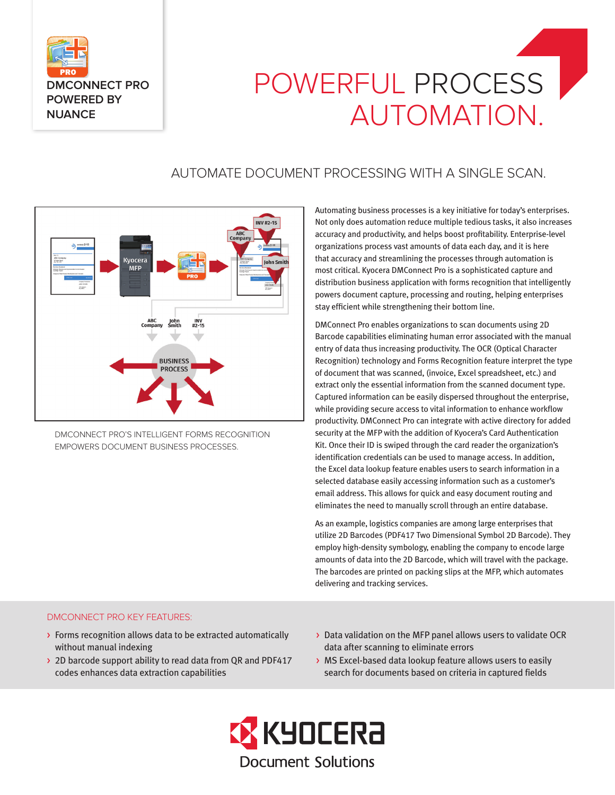

# POWERFUL PROCESS AUTOMATION.

# AUTOMATE DOCUMENT PROCESSING WITH A SINGLE SCAN.



DMCONNECT PRO'S INTELLIGENT FORMS RECOGNITION EMPOWERS DOCUMENT BUSINESS PROCESSES.

Automating business processes is a key initiative for today's enterprises. Not only does automation reduce multiple tedious tasks, it also increases accuracy and productivity, and helps boost profitability. Enterprise-level organizations process vast amounts of data each day, and it is here that accuracy and streamlining the processes through automation is most critical. Kyocera DMConnect Pro is a sophisticated capture and distribution business application with forms recognition that intelligently powers document capture, processing and routing, helping enterprises stay efficient while strengthening their bottom line.

DMConnect Pro enables organizations to scan documents using 2D Barcode capabilities eliminating human error associated with the manual entry of data thus increasing productivity. The OCR (Optical Character Recognition) technology and Forms Recognition feature interpret the type of document that was scanned, (invoice, Excel spreadsheet, etc.) and extract only the essential information from the scanned document type. Captured information can be easily dispersed throughout the enterprise, while providing secure access to vital information to enhance workflow productivity. DMConnect Pro can integrate with active directory for added security at the MFP with the addition of Kyocera's Card Authentication Kit. Once their ID is swiped through the card reader the organization's identification credentials can be used to manage access. In addition, the Excel data lookup feature enables users to search information in a selected database easily accessing information such as a customer's email address. This allows for quick and easy document routing and eliminates the need to manually scroll through an entire database.

As an example, logistics companies are among large enterprises that utilize 2D Barcodes (PDF417 Two Dimensional Symbol 2D Barcode). They employ high-density symbology, enabling the company to encode large amounts of data into the 2D Barcode, which will travel with the package. The barcodes are printed on packing slips at the MFP, which automates delivering and tracking services.

#### DMCONNECT PRO KEY FEATURES:

- > Forms recognition allows data to be extracted automatically without manual indexing
- > 2D barcode support ability to read data from QR and PDF417 codes enhances data extraction capabilities
- > Data validation on the MFP panel allows users to validate OCR data after scanning to eliminate errors
- > MS Excel-based data lookup feature allows users to easily search for documents based on criteria in captured fields